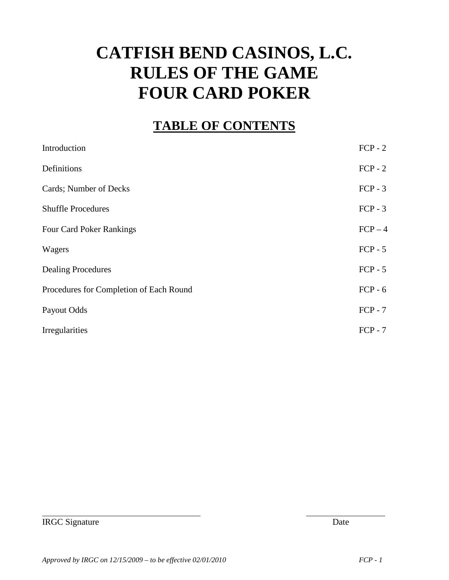# **CATFISH BEND CASINOS, L.C. RULES OF THE GAME FOUR CARD POKER**

#### **TABLE OF CONTENTS**

| Introduction                            | $FCP - 2$ |
|-----------------------------------------|-----------|
| Definitions                             | $FCP - 2$ |
| <b>Cards</b> ; Number of Decks          | $FCP - 3$ |
| <b>Shuffle Procedures</b>               | $FCP - 3$ |
| <b>Four Card Poker Rankings</b>         | $FCP-4$   |
| Wagers                                  | $FCP - 5$ |
| <b>Dealing Procedures</b>               | $FCP - 5$ |
| Procedures for Completion of Each Round | $FCP - 6$ |
| Payout Odds                             | $FCP - 7$ |
| <b>Irregularities</b>                   | $FCP - 7$ |

IRGC Signature Date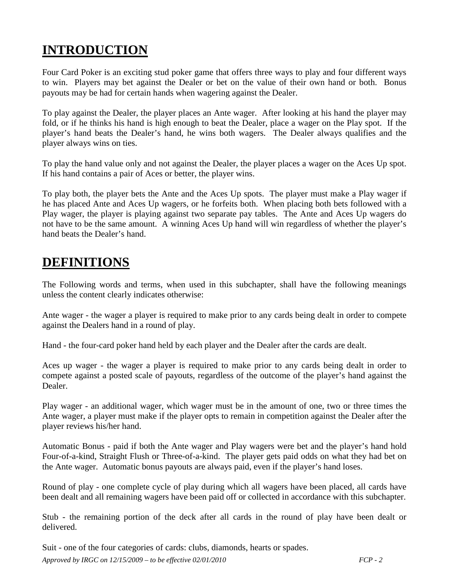### **INTRODUCTION**

Four Card Poker is an exciting stud poker game that offers three ways to play and four different ways to win. Players may bet against the Dealer or bet on the value of their own hand or both. Bonus payouts may be had for certain hands when wagering against the Dealer.

To play against the Dealer, the player places an Ante wager. After looking at his hand the player may fold, or if he thinks his hand is high enough to beat the Dealer, place a wager on the Play spot. If the player's hand beats the Dealer's hand, he wins both wagers. The Dealer always qualifies and the player always wins on ties.

To play the hand value only and not against the Dealer, the player places a wager on the Aces Up spot. If his hand contains a pair of Aces or better, the player wins.

To play both, the player bets the Ante and the Aces Up spots. The player must make a Play wager if he has placed Ante and Aces Up wagers, or he forfeits both. When placing both bets followed with a Play wager, the player is playing against two separate pay tables. The Ante and Aces Up wagers do not have to be the same amount. A winning Aces Up hand will win regardless of whether the player's hand beats the Dealer's hand.

### **DEFINITIONS**

The Following words and terms, when used in this subchapter, shall have the following meanings unless the content clearly indicates otherwise:

Ante wager - the wager a player is required to make prior to any cards being dealt in order to compete against the Dealers hand in a round of play.

Hand - the four-card poker hand held by each player and the Dealer after the cards are dealt.

Aces up wager - the wager a player is required to make prior to any cards being dealt in order to compete against a posted scale of payouts, regardless of the outcome of the player's hand against the Dealer.

Play wager - an additional wager, which wager must be in the amount of one, two or three times the Ante wager, a player must make if the player opts to remain in competition against the Dealer after the player reviews his/her hand.

Automatic Bonus - paid if both the Ante wager and Play wagers were bet and the player's hand hold Four-of-a-kind, Straight Flush or Three-of-a-kind. The player gets paid odds on what they had bet on the Ante wager. Automatic bonus payouts are always paid, even if the player's hand loses.

Round of play - one complete cycle of play during which all wagers have been placed, all cards have been dealt and all remaining wagers have been paid off or collected in accordance with this subchapter.

Stub - the remaining portion of the deck after all cards in the round of play have been dealt or delivered.

*Approved by IRGC on 12/15/2009 – to be effective 02/01/2010 FCP - 2* Suit - one of the four categories of cards: clubs, diamonds, hearts or spades.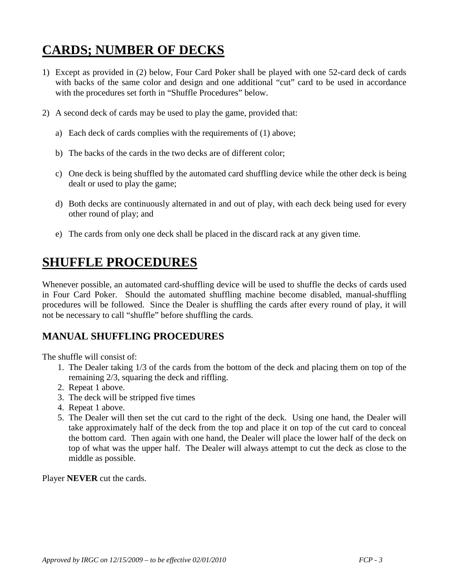# **CARDS; NUMBER OF DECKS**

- 1) Except as provided in (2) below, Four Card Poker shall be played with one 52-card deck of cards with backs of the same color and design and one additional "cut" card to be used in accordance with the procedures set forth in "Shuffle Procedures" below.
- 2) A second deck of cards may be used to play the game, provided that:
	- a) Each deck of cards complies with the requirements of (1) above;
	- b) The backs of the cards in the two decks are of different color;
	- c) One deck is being shuffled by the automated card shuffling device while the other deck is being dealt or used to play the game;
	- d) Both decks are continuously alternated in and out of play, with each deck being used for every other round of play; and
	- e) The cards from only one deck shall be placed in the discard rack at any given time.

### **SHUFFLE PROCEDURES**

Whenever possible, an automated card-shuffling device will be used to shuffle the decks of cards used in Four Card Poker. Should the automated shuffling machine become disabled, manual-shuffling procedures will be followed. Since the Dealer is shuffling the cards after every round of play, it will not be necessary to call "shuffle" before shuffling the cards.

#### **MANUAL SHUFFLING PROCEDURES**

The shuffle will consist of:

- 1. The Dealer taking 1/3 of the cards from the bottom of the deck and placing them on top of the remaining 2/3, squaring the deck and riffling.
- 2. Repeat 1 above.
- 3. The deck will be stripped five times
- 4. Repeat 1 above.
- 5. The Dealer will then set the cut card to the right of the deck. Using one hand, the Dealer will take approximately half of the deck from the top and place it on top of the cut card to conceal the bottom card. Then again with one hand, the Dealer will place the lower half of the deck on top of what was the upper half. The Dealer will always attempt to cut the deck as close to the middle as possible.

Player **NEVER** cut the cards.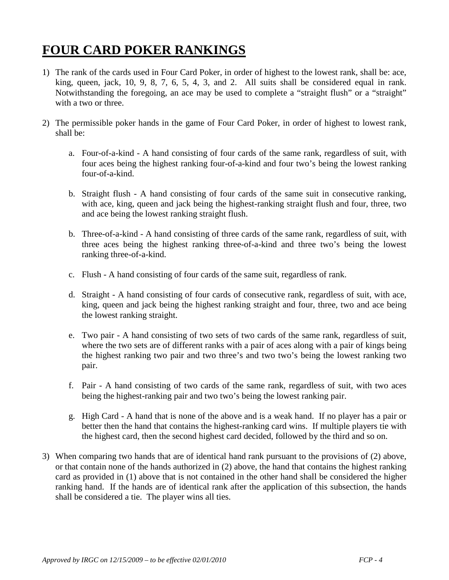# **FOUR CARD POKER RANKINGS**

- 1) The rank of the cards used in Four Card Poker, in order of highest to the lowest rank, shall be: ace, king, queen, jack, 10, 9, 8, 7, 6, 5, 4, 3, and 2. All suits shall be considered equal in rank. Notwithstanding the foregoing, an ace may be used to complete a "straight flush" or a "straight" with a two or three.
- 2) The permissible poker hands in the game of Four Card Poker, in order of highest to lowest rank, shall be:
	- a. Four-of-a-kind A hand consisting of four cards of the same rank, regardless of suit, with four aces being the highest ranking four-of-a-kind and four two's being the lowest ranking four-of-a-kind.
	- b. Straight flush A hand consisting of four cards of the same suit in consecutive ranking, with ace, king, queen and jack being the highest-ranking straight flush and four, three, two and ace being the lowest ranking straight flush.
	- b. Three-of-a-kind A hand consisting of three cards of the same rank, regardless of suit, with three aces being the highest ranking three-of-a-kind and three two's being the lowest ranking three-of-a-kind.
	- c. Flush A hand consisting of four cards of the same suit, regardless of rank.
	- d. Straight A hand consisting of four cards of consecutive rank, regardless of suit, with ace, king, queen and jack being the highest ranking straight and four, three, two and ace being the lowest ranking straight.
	- e. Two pair A hand consisting of two sets of two cards of the same rank, regardless of suit, where the two sets are of different ranks with a pair of aces along with a pair of kings being the highest ranking two pair and two three's and two two's being the lowest ranking two pair.
	- f. Pair A hand consisting of two cards of the same rank, regardless of suit, with two aces being the highest-ranking pair and two two's being the lowest ranking pair.
	- g. High Card A hand that is none of the above and is a weak hand. If no player has a pair or better then the hand that contains the highest-ranking card wins. If multiple players tie with the highest card, then the second highest card decided, followed by the third and so on.
- 3) When comparing two hands that are of identical hand rank pursuant to the provisions of (2) above, or that contain none of the hands authorized in (2) above, the hand that contains the highest ranking card as provided in (1) above that is not contained in the other hand shall be considered the higher ranking hand. If the hands are of identical rank after the application of this subsection, the hands shall be considered a tie. The player wins all ties.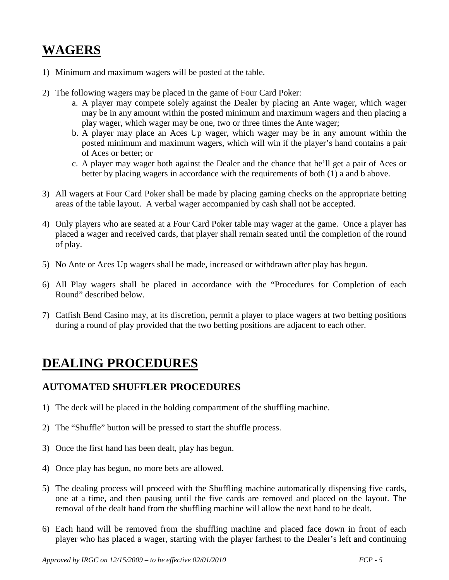### **WAGERS**

- 1) Minimum and maximum wagers will be posted at the table.
- 2) The following wagers may be placed in the game of Four Card Poker:
	- a. A player may compete solely against the Dealer by placing an Ante wager, which wager may be in any amount within the posted minimum and maximum wagers and then placing a play wager, which wager may be one, two or three times the Ante wager;
	- b. A player may place an Aces Up wager, which wager may be in any amount within the posted minimum and maximum wagers, which will win if the player's hand contains a pair of Aces or better; or
	- c. A player may wager both against the Dealer and the chance that he'll get a pair of Aces or better by placing wagers in accordance with the requirements of both (1) a and b above.
- 3) All wagers at Four Card Poker shall be made by placing gaming checks on the appropriate betting areas of the table layout. A verbal wager accompanied by cash shall not be accepted.
- 4) Only players who are seated at a Four Card Poker table may wager at the game. Once a player has placed a wager and received cards, that player shall remain seated until the completion of the round of play.
- 5) No Ante or Aces Up wagers shall be made, increased or withdrawn after play has begun.
- 6) All Play wagers shall be placed in accordance with the "Procedures for Completion of each Round" described below.
- 7) Catfish Bend Casino may, at its discretion, permit a player to place wagers at two betting positions during a round of play provided that the two betting positions are adjacent to each other.

#### **DEALING PROCEDURES**

#### **AUTOMATED SHUFFLER PROCEDURES**

- 1) The deck will be placed in the holding compartment of the shuffling machine.
- 2) The "Shuffle" button will be pressed to start the shuffle process.
- 3) Once the first hand has been dealt, play has begun.
- 4) Once play has begun, no more bets are allowed.
- 5) The dealing process will proceed with the Shuffling machine automatically dispensing five cards, one at a time, and then pausing until the five cards are removed and placed on the layout. The removal of the dealt hand from the shuffling machine will allow the next hand to be dealt.
- 6) Each hand will be removed from the shuffling machine and placed face down in front of each player who has placed a wager, starting with the player farthest to the Dealer's left and continuing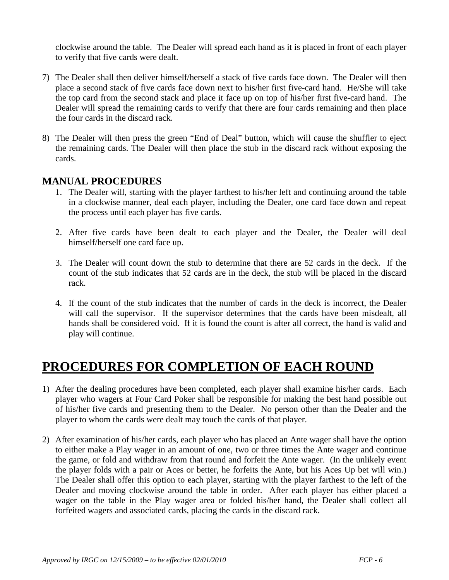clockwise around the table. The Dealer will spread each hand as it is placed in front of each player to verify that five cards were dealt.

- 7) The Dealer shall then deliver himself/herself a stack of five cards face down. The Dealer will then place a second stack of five cards face down next to his/her first five-card hand. He/She will take the top card from the second stack and place it face up on top of his/her first five-card hand. The Dealer will spread the remaining cards to verify that there are four cards remaining and then place the four cards in the discard rack.
- 8) The Dealer will then press the green "End of Deal" button, which will cause the shuffler to eject the remaining cards. The Dealer will then place the stub in the discard rack without exposing the cards.

#### **MANUAL PROCEDURES**

- 1. The Dealer will, starting with the player farthest to his/her left and continuing around the table in a clockwise manner, deal each player, including the Dealer, one card face down and repeat the process until each player has five cards.
- 2. After five cards have been dealt to each player and the Dealer, the Dealer will deal himself/herself one card face up.
- 3. The Dealer will count down the stub to determine that there are 52 cards in the deck. If the count of the stub indicates that 52 cards are in the deck, the stub will be placed in the discard rack.
- 4. If the count of the stub indicates that the number of cards in the deck is incorrect, the Dealer will call the supervisor. If the supervisor determines that the cards have been misdealt, all hands shall be considered void. If it is found the count is after all correct, the hand is valid and play will continue.

#### **PROCEDURES FOR COMPLETION OF EACH ROUND**

- 1) After the dealing procedures have been completed, each player shall examine his/her cards. Each player who wagers at Four Card Poker shall be responsible for making the best hand possible out of his/her five cards and presenting them to the Dealer. No person other than the Dealer and the player to whom the cards were dealt may touch the cards of that player.
- 2) After examination of his/her cards, each player who has placed an Ante wager shall have the option to either make a Play wager in an amount of one, two or three times the Ante wager and continue the game, or fold and withdraw from that round and forfeit the Ante wager. (In the unlikely event the player folds with a pair or Aces or better, he forfeits the Ante, but his Aces Up bet will win.) The Dealer shall offer this option to each player, starting with the player farthest to the left of the Dealer and moving clockwise around the table in order. After each player has either placed a wager on the table in the Play wager area or folded his/her hand, the Dealer shall collect all forfeited wagers and associated cards, placing the cards in the discard rack.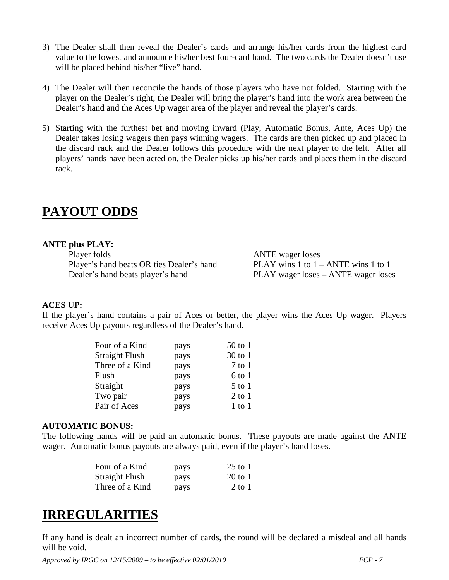- 3) The Dealer shall then reveal the Dealer's cards and arrange his/her cards from the highest card value to the lowest and announce his/her best four-card hand. The two cards the Dealer doesn't use will be placed behind his/her "live" hand.
- 4) The Dealer will then reconcile the hands of those players who have not folded. Starting with the player on the Dealer's right, the Dealer will bring the player's hand into the work area between the Dealer's hand and the Aces Up wager area of the player and reveal the player's cards.
- 5) Starting with the furthest bet and moving inward (Play, Automatic Bonus, Ante, Aces Up) the Dealer takes losing wagers then pays winning wagers. The cards are then picked up and placed in the discard rack and the Dealer follows this procedure with the next player to the left. After all players' hands have been acted on, the Dealer picks up his/her cards and places them in the discard rack.

#### **PAYOUT ODDS**

#### **ANTE plus PLAY:**

Player folds ANTE wager loses Player's hand beats OR ties Dealer's hand PLAY wins 1 to 1 – ANTE wins 1 to 1<br>Dealer's hand beats player's hand PLAY wager loses – ANTE wager lose

PLAY wager loses – ANTE wager loses

#### **ACES UP:**

If the player's hand contains a pair of Aces or better, the player wins the Aces Up wager. Players receive Aces Up payouts regardless of the Dealer's hand.

| Four of a Kind  | pays | $50$ to 1  |
|-----------------|------|------------|
| Straight Flush  | pays | $30$ to 1  |
| Three of a Kind | pays | $7$ to $1$ |
| Flush           | pays | $6$ to $1$ |
| Straight        | pays | $5$ to $1$ |
| Two pair        | pays | $2$ to $1$ |
| Pair of Aces    | pays | $1$ to $1$ |

#### **AUTOMATIC BONUS:**

The following hands will be paid an automatic bonus. These payouts are made against the ANTE wager. Automatic bonus payouts are always paid, even if the player's hand loses.

| Four of a Kind  | pays | $25$ to 1 |
|-----------------|------|-----------|
| Straight Flush  | pays | $20$ to 1 |
| Three of a Kind | pays | 2 to 1    |

#### **IRREGULARITIES**

If any hand is dealt an incorrect number of cards, the round will be declared a misdeal and all hands will be void.